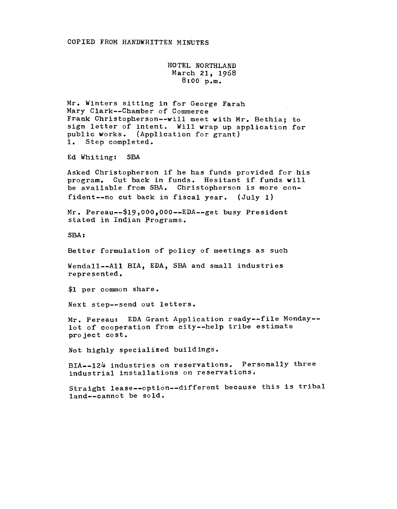HOTEL NORTHLAND March 21, 1968 8:00 p.m.

Mr. Winters sitting in for George Farah Mary Clark--Chamber of Commerce Frank Christopherson--will meet with Mr. Bethia; to sign letter of intent. Will wrap up application for public works. (Application for grant) 1. Step completed.

Ed Whiting: SBA

Asked Christopherson if he has funds provided for his program. Cut back in funds. Hesitant if funds will be available from SBA. Christopherson is more confident--no cut back in fiscal year. (July 1)

 $Mr.$  Pereau--\$19,000,000--EDA--get busy President stated in Indian Programs.

SBA:

Better formulation of policy of meetings as such

Wendall--All BIA, EDA, SBA and small industries represented.

\$1 per common share.

Next step--send out letters.

Mr. Pereau: EDA Grant Application ready--file Monday- lot of cooperation from city--help tribe estimate project cost.

Not highly specialized buildings.

BIA--124 industries on reservations. Personally three industrial installations on reservations.

Straight lease--option--different because this is tribal land--cannot be sold.